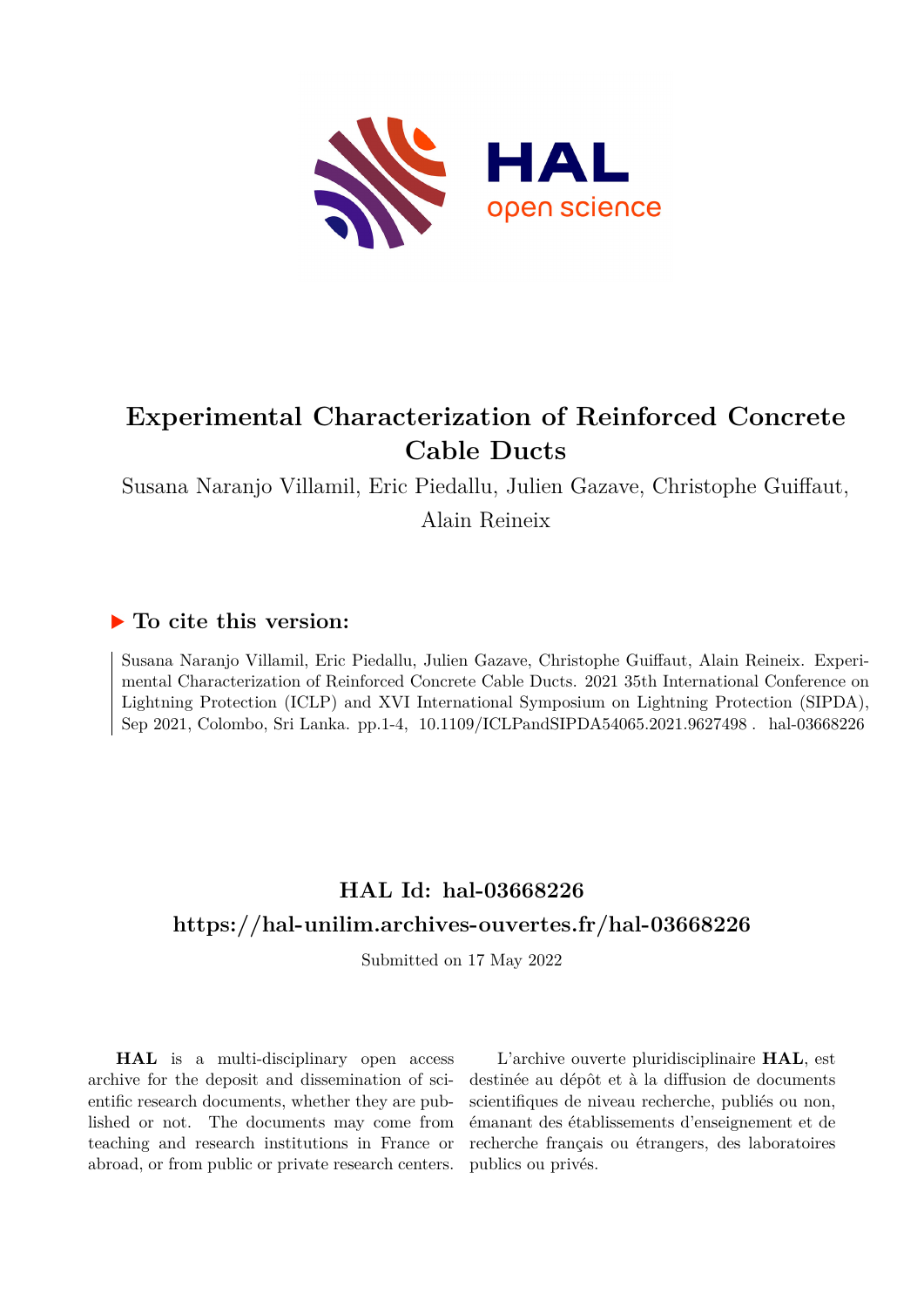

## **Experimental Characterization of Reinforced Concrete Cable Ducts**

Susana Naranjo Villamil, Eric Piedallu, Julien Gazave, Christophe Guiffaut, Alain Reineix

### **To cite this version:**

Susana Naranjo Villamil, Eric Piedallu, Julien Gazave, Christophe Guiffaut, Alain Reineix. Experimental Characterization of Reinforced Concrete Cable Ducts. 2021 35th International Conference on Lightning Protection (ICLP) and XVI International Symposium on Lightning Protection (SIPDA), Sep 2021, Colombo, Sri Lanka. pp.1-4, 10.1109/ICLPandSIPDA54065.2021.9627498. hal-03668226

## **HAL Id: hal-03668226 <https://hal-unilim.archives-ouvertes.fr/hal-03668226>**

Submitted on 17 May 2022

**HAL** is a multi-disciplinary open access archive for the deposit and dissemination of scientific research documents, whether they are published or not. The documents may come from teaching and research institutions in France or abroad, or from public or private research centers.

L'archive ouverte pluridisciplinaire **HAL**, est destinée au dépôt et à la diffusion de documents scientifiques de niveau recherche, publiés ou non, émanant des établissements d'enseignement et de recherche français ou étrangers, des laboratoires publics ou privés.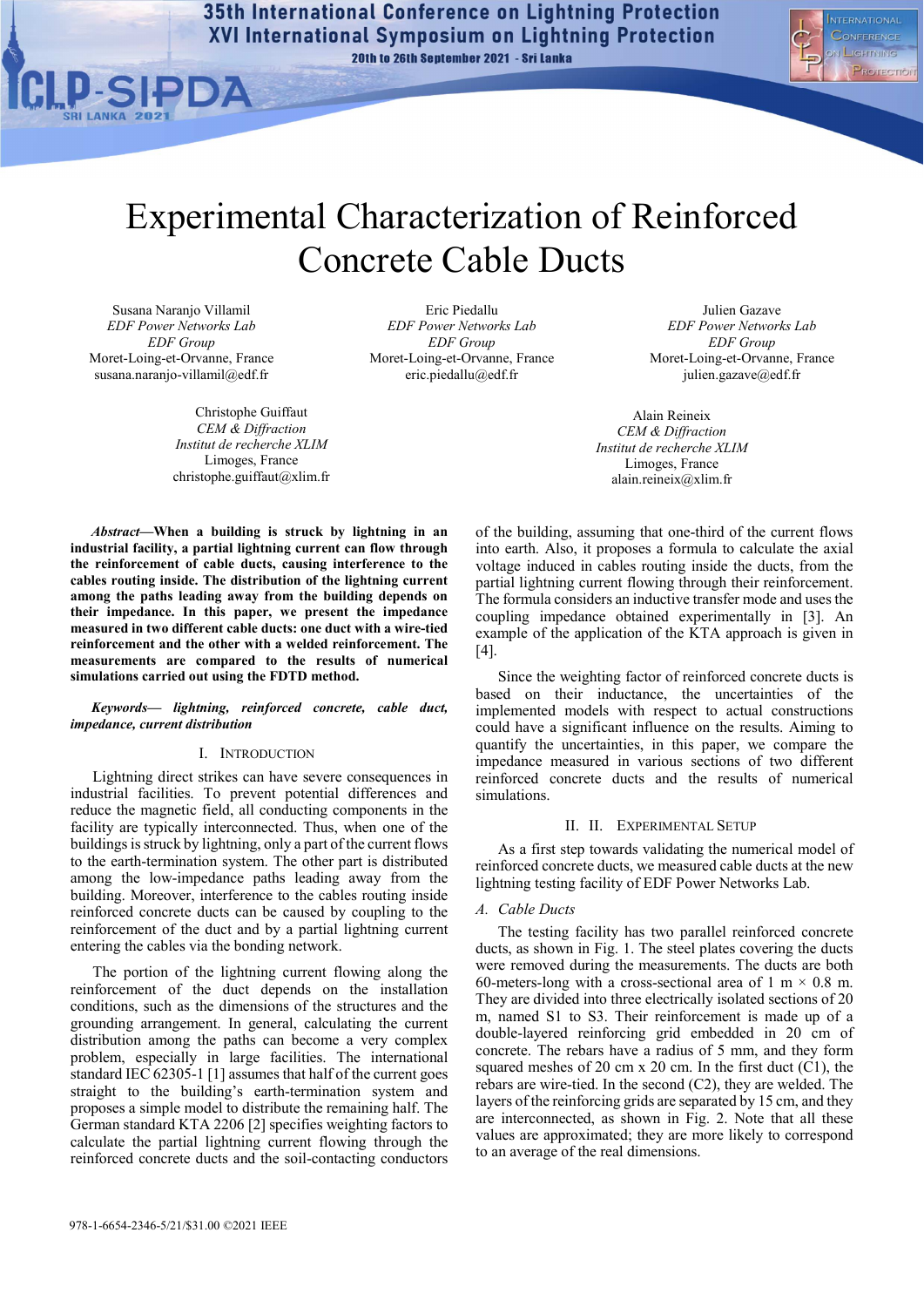35th International Conference on Lightning Protection **XVI International Symposium on Lightning Protection** 20th to 26th September 2021 - Sri Lanka



# Experimental Characterization of Reinforced Concrete Cable Ducts

Susana Naranjo Villamil *EDF Power Networks Lab EDF Group*  Moret-Loing-et-Orvanne, France susana.naranjo-villamil@edf.fr

> Christophe Guiffaut *CEM & Diffraction Institut de recherche XLIM*  Limoges, France christophe.guiffaut@xlim.fr

Eric Piedallu *EDF Power Networks Lab EDF Group*  Moret-Loing-et-Orvanne, France eric.piedallu@edf.fr

Julien Gazave *EDF Power Networks Lab EDF Group*  Moret-Loing-et-Orvanne, France julien.gazave@edf.fr

Alain Reineix *CEM & Diffraction Institut de recherche XLIM*  Limoges, France alain.reineix@xlim.fr

*Abstract***—When a building is struck by lightning in an industrial facility, a partial lightning current can flow through the reinforcement of cable ducts, causing interference to the cables routing inside. The distribution of the lightning current among the paths leading away from the building depends on their impedance. In this paper, we present the impedance measured in two different cable ducts: one duct with a wire-tied reinforcement and the other with a welded reinforcement. The measurements are compared to the results of numerical simulations carried out using the FDTD method.**

#### *Keywords— lightning, reinforced concrete, cable duct, impedance, current distribution*

#### I. INTRODUCTION

Lightning direct strikes can have severe consequences in industrial facilities. To prevent potential differences and reduce the magnetic field, all conducting components in the facility are typically interconnected. Thus, when one of the buildings is struck by lightning, only a part of the current flows to the earth-termination system. The other part is distributed among the low-impedance paths leading away from the building. Moreover, interference to the cables routing inside reinforced concrete ducts can be caused by coupling to the reinforcement of the duct and by a partial lightning current entering the cables via the bonding network.

The portion of the lightning current flowing along the reinforcement of the duct depends on the installation conditions, such as the dimensions of the structures and the grounding arrangement. In general, calculating the current distribution among the paths can become a very complex problem, especially in large facilities. The international standard IEC 62305-1 [1] assumes that half of the current goes straight to the building's earth-termination system and proposes a simple model to distribute the remaining half. The German standard KTA 2206 [2] specifies weighting factors to calculate the partial lightning current flowing through the reinforced concrete ducts and the soil-contacting conductors

of the building, assuming that one-third of the current flows into earth. Also, it proposes a formula to calculate the axial voltage induced in cables routing inside the ducts, from the partial lightning current flowing through their reinforcement. The formula considers an inductive transfer mode and uses the coupling impedance obtained experimentally in [3]. An example of the application of the KTA approach is given in [4].

Since the weighting factor of reinforced concrete ducts is based on their inductance, the uncertainties of the implemented models with respect to actual constructions could have a significant influence on the results. Aiming to quantify the uncertainties, in this paper, we compare the impedance measured in various sections of two different reinforced concrete ducts and the results of numerical simulations.

#### II. II. EXPERIMENTAL SETUP

As a first step towards validating the numerical model of reinforced concrete ducts, we measured cable ducts at the new lightning testing facility of EDF Power Networks Lab.

#### *A. Cable Ducts*

The testing facility has two parallel reinforced concrete ducts, as shown in Fig. 1. The steel plates covering the ducts were removed during the measurements. The ducts are both 60-meters-long with a cross-sectional area of 1 m  $\times$  0.8 m. They are divided into three electrically isolated sections of 20 m, named S1 to S3. Their reinforcement is made up of a double-layered reinforcing grid embedded in 20 cm of concrete. The rebars have a radius of 5 mm, and they form squared meshes of 20 cm  $x$  20 cm. In the first duct (C1), the rebars are wire-tied. In the second (C2), they are welded. The layers of the reinforcing grids are separated by 15 cm, and they are interconnected, as shown in Fig. 2. Note that all these values are approximated; they are more likely to correspond to an average of the real dimensions.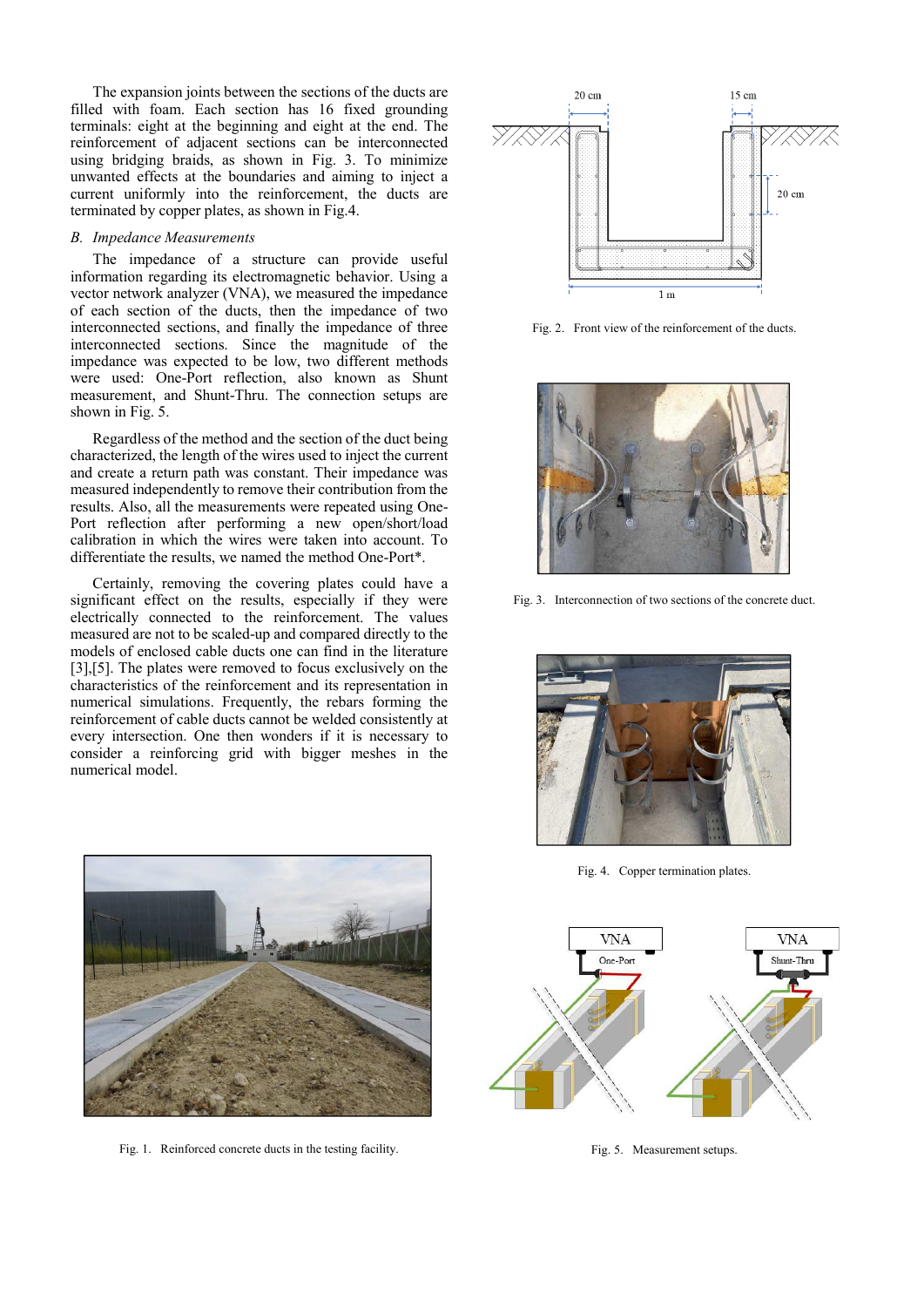The expansion joints between the sections of the ducts are filled with foam. Each section has 16 fixed grounding terminals: eight at the beginning and eight at the end. The reinforcement of adjacent sections can be interconnected using bridging braids, as shown in Fig. 3. To minimize unwanted effects at the boundaries and aiming to inject a current uniformly into the reinforcement, the ducts are terminated by copper plates, as shown in Fig.4.

#### *B. Impedance Measurements*

The impedance of a structure can provide useful information regarding its electromagnetic behavior. Using a vector network analyzer (VNA), we measured the impedance of each section of the ducts, then the impedance of two interconnected sections, and finally the impedance of three interconnected sections. Since the magnitude of the impedance was expected to be low, two different methods were used: One-Port reflection, also known as Shunt measurement, and Shunt-Thru. The connection setups are shown in Fig. 5.

Regardless of the method and the section of the duct being characterized, the length of the wires used to inject the current and create a return path was constant. Their impedance was measured independently to remove their contribution from the results. Also, all the measurements were repeated using One-Port reflection after performing a new open/short/load calibration in which the wires were taken into account. To differentiate the results, we named the method One-Port\*.

Certainly, removing the covering plates could have a significant effect on the results, especially if they were electrically connected to the reinforcement. The values measured are not to be scaled-up and compared directly to the models of enclosed cable ducts one can find in the literature [3],[5]. The plates were removed to focus exclusively on the characteristics of the reinforcement and its representation in numerical simulations. Frequently, the rebars forming the reinforcement of cable ducts cannot be welded consistently at every intersection. One then wonders if it is necessary to consider a reinforcing grid with bigger meshes in the numerical model.



Fig. 1. Reinforced concrete ducts in the testing facility.



Fig. 2. Front view of the reinforcement of the ducts.



Fig. 3. Interconnection of two sections of the concrete duct.



Fig. 4. Copper termination plates.



Fig. 5. Measurement setups.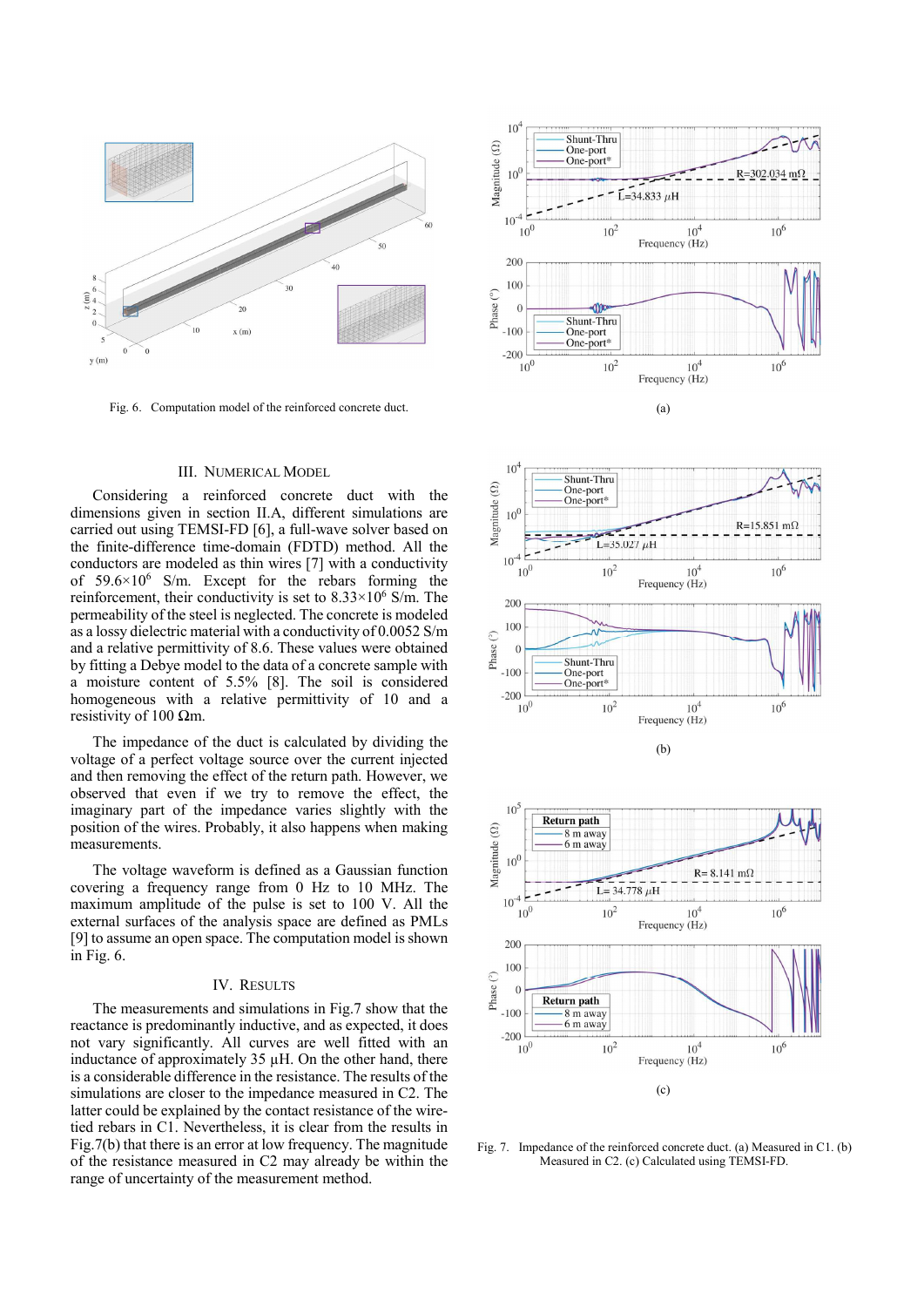

Fig. 6. Computation model of the reinforced concrete duct.

#### III. NUMERICAL MODEL

Considering a reinforced concrete duct with the dimensions given in section II.A, different simulations are carried out using TEMSI-FD [6], a full-wave solver based on the finite-difference time-domain (FDTD) method. All the conductors are modeled as thin wires [7] with a conductivity of 59.6×10<sup>6</sup> S/m. Except for the rebars forming the reinforcement, their conductivity is set to  $8.33 \times 10^6$  S/m. The permeability of the steel is neglected. The concrete is modeled as a lossy dielectric material with a conductivity of 0.0052 S/m and a relative permittivity of 8.6. These values were obtained by fitting a Debye model to the data of a concrete sample with a moisture content of 5.5% [8]. The soil is considered homogeneous with a relative permittivity of 10 and a resistivity of 100 Ωm.

The impedance of the duct is calculated by dividing the voltage of a perfect voltage source over the current injected and then removing the effect of the return path. However, we observed that even if we try to remove the effect, the imaginary part of the impedance varies slightly with the position of the wires. Probably, it also happens when making measurements.

The voltage waveform is defined as a Gaussian function covering a frequency range from 0 Hz to 10 MHz. The maximum amplitude of the pulse is set to 100 V. All the external surfaces of the analysis space are defined as PMLs [9] to assume an open space. The computation model is shown in Fig. 6.

#### IV. RESULTS

The measurements and simulations in Fig.7 show that the reactance is predominantly inductive, and as expected, it does not vary significantly. All curves are well fitted with an inductance of approximately 35 µH. On the other hand, there is a considerable difference in the resistance. The results of the simulations are closer to the impedance measured in C2. The latter could be explained by the contact resistance of the wiretied rebars in C1. Nevertheless, it is clear from the results in Fig.7(b) that there is an error at low frequency. The magnitude of the resistance measured in C2 may already be within the range of uncertainty of the measurement method.







Fig. 7. Impedance of the reinforced concrete duct. (a) Measured in C1. (b) Measured in C2. (c) Calculated using TEMSI-FD.